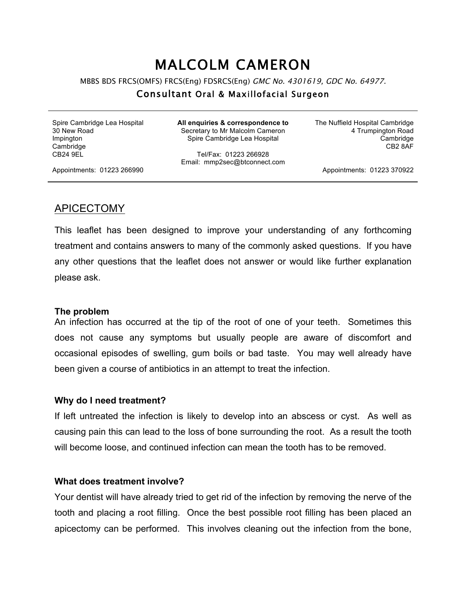# MALCOLM CAMERON

MBBS BDS FRCS(OMFS) FRCS(Eng) FDSRCS(Eng) GMC No. 4301619, GDC No. 64977.

#### Consultant Oral & Maxillofacial Surgeon

Spire Cambridge Lea Hospital 30 New Road Impington **Cambridge** CB24 9EL

**All enquiries & correspondence to** Secretary to Mr Malcolm Cameron Spire Cambridge Lea Hospital

Tel/Fax: 01223 266928 Email: mmp2sec@btconnect.com The Nuffield Hospital Cambridge 4 Trumpington Road Cambridge CB2 8AF

Appointments: 01223 266990

Appointments: 01223 370922

## APICECTOMY

This leaflet has been designed to improve your understanding of any forthcoming treatment and contains answers to many of the commonly asked questions. If you have any other questions that the leaflet does not answer or would like further explanation please ask.

#### **The problem**

An infection has occurred at the tip of the root of one of your teeth. Sometimes this does not cause any symptoms but usually people are aware of discomfort and occasional episodes of swelling, gum boils or bad taste. You may well already have been given a course of antibiotics in an attempt to treat the infection.

#### **Why do I need treatment?**

If left untreated the infection is likely to develop into an abscess or cyst. As well as causing pain this can lead to the loss of bone surrounding the root. As a result the tooth will become loose, and continued infection can mean the tooth has to be removed.

#### **What does treatment involve?**

Your dentist will have already tried to get rid of the infection by removing the nerve of the tooth and placing a root filling. Once the best possible root filling has been placed an apicectomy can be performed. This involves cleaning out the infection from the bone,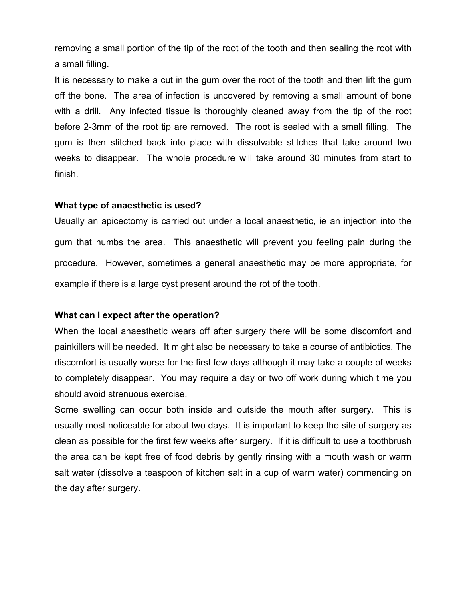removing a small portion of the tip of the root of the tooth and then sealing the root with a small filling.

It is necessary to make a cut in the gum over the root of the tooth and then lift the gum off the bone. The area of infection is uncovered by removing a small amount of bone with a drill. Any infected tissue is thoroughly cleaned away from the tip of the root before 2-3mm of the root tip are removed. The root is sealed with a small filling. The gum is then stitched back into place with dissolvable stitches that take around two weeks to disappear. The whole procedure will take around 30 minutes from start to finish.

#### **What type of anaesthetic is used?**

Usually an apicectomy is carried out under a local anaesthetic, ie an injection into the gum that numbs the area. This anaesthetic will prevent you feeling pain during the procedure. However, sometimes a general anaesthetic may be more appropriate, for example if there is a large cyst present around the rot of the tooth.

### **What can I expect after the operation?**

When the local anaesthetic wears off after surgery there will be some discomfort and painkillers will be needed. It might also be necessary to take a course of antibiotics. The discomfort is usually worse for the first few days although it may take a couple of weeks to completely disappear. You may require a day or two off work during which time you should avoid strenuous exercise.

Some swelling can occur both inside and outside the mouth after surgery. This is usually most noticeable for about two days. It is important to keep the site of surgery as clean as possible for the first few weeks after surgery. If it is difficult to use a toothbrush the area can be kept free of food debris by gently rinsing with a mouth wash or warm salt water (dissolve a teaspoon of kitchen salt in a cup of warm water) commencing on the day after surgery.